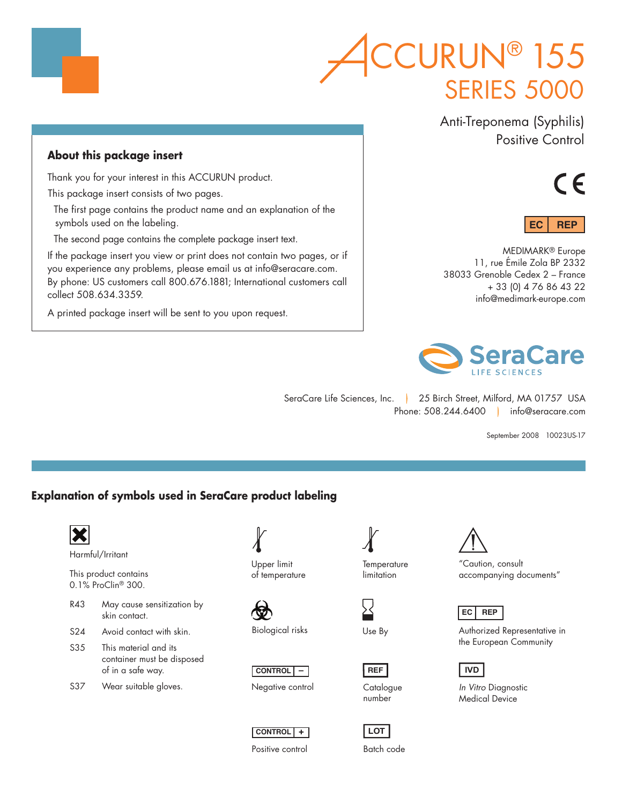# **SERIES 5000** CURUN<sup>®</sup> 155

Anti-Treponema (Syphilis) Positive Control

## **About this package insert**

Thank you for your interest in this ACCURUN product.

This package insert consists of two pages.

The first page contains the product name and an explanation of the symbols used on the labeling.

The second page contains the complete package insert text.

If the package insert you view or print does not contain two pages, or if you experience any problems, please email us at info@seracare.com. By phone: US customers call 800.676.1881; International customers call collect 508.634.3359.

A printed package insert will be sent to you upon request.





MEDIMARK® Europe 11, rue Émile Zola BP 2332 38033 Grenoble Cedex 2 – France + 33 (0) 4 76 86 43 22 info@medimark-europe.com



SeraCare Life Sciences, Inc. | 25 Birch Street, Milford, MA 01757 USA Phone: 508.244.6400 info@seracare.com

September 2008 10023US-17

### **Explanation of symbols used in SeraCare product labeling**



- of in a safe way.
- S37 Wear suitable gloves.

Upper limit of temperature

Biological risks







Positive control

**Temperature** limitation

Use By

**REF**

number

**LOT** Batch code



"Caution, consult accompanying documents"

**EC REP**

Authorized Representative in the European Community



*In Vitro* Diagnostic Medical Device